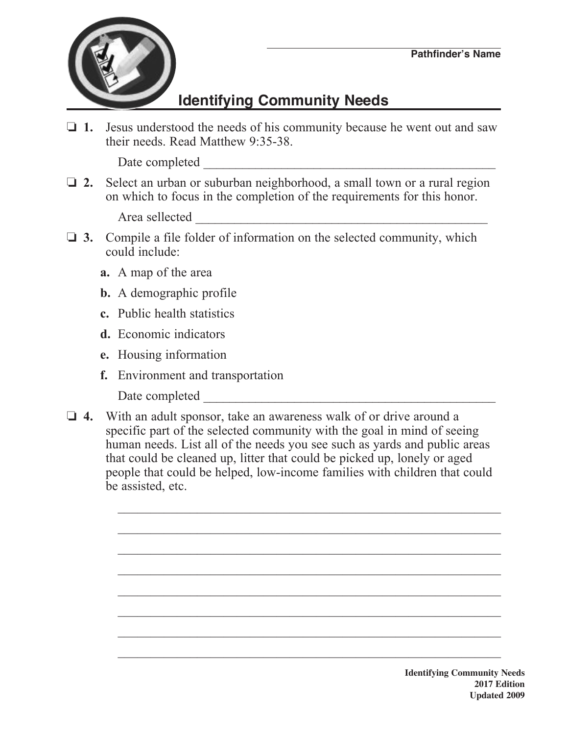

## **Identifying Community Needs**

**1.** Jesus understood the needs of his community because he went out and saw their needs. Read Matthew 9:35-38.

Date completed \_\_\_\_\_\_\_\_\_\_\_\_\_\_\_\_\_\_\_\_\_\_\_\_\_\_\_\_\_\_\_\_\_\_\_\_\_\_\_\_\_\_\_\_\_

**2.** Select an urban or suburban neighborhood, a small town or a rural region on which to focus in the completion of the requirements for this honor.

Area sellected \_\_\_\_\_\_\_\_\_\_\_\_\_\_\_\_\_\_\_\_\_\_\_\_\_\_\_\_\_\_\_\_\_\_\_\_\_\_\_\_\_\_\_\_\_

- $\Box$  **3.** Compile a file folder of information on the selected community, which could include:
	- **a.** A map of the area
	- **b.** A demographic profile
	- **c.** Public health statistics
	- **d.** Economic indicators
	- **e.** Housing information
	- **f.** Environment and transportation
		- Date completed \_\_\_\_\_\_\_\_\_\_\_\_\_\_\_\_\_\_\_\_\_\_\_\_\_\_\_\_\_\_\_\_\_\_\_\_\_\_\_\_\_\_\_\_\_
- □ 4. With an adult sponsor, take an awareness walk of or drive around a specific part of the selected community with the goal in mind of seeing human needs. List all of the needs you see such as yards and public areas that could be cleaned up, litter that could be picked up, lonely or aged people that could be helped, low-income families with children that could be assisted, etc.

 $\mathcal{L}_\text{max}$  , and the contract of the contract of the contract of the contract of the contract of the contract of the contract of the contract of the contract of the contract of the contract of the contract of the contr

 $\mathcal{L}_\text{max} = \frac{1}{2} \sum_{i=1}^n \frac{1}{2} \sum_{i=1}^n \frac{1}{2} \sum_{i=1}^n \frac{1}{2} \sum_{i=1}^n \frac{1}{2} \sum_{i=1}^n \frac{1}{2} \sum_{i=1}^n \frac{1}{2} \sum_{i=1}^n \frac{1}{2} \sum_{i=1}^n \frac{1}{2} \sum_{i=1}^n \frac{1}{2} \sum_{i=1}^n \frac{1}{2} \sum_{i=1}^n \frac{1}{2} \sum_{i=1}^n \frac{1}{2} \sum_{i=1}^n$ 

 $\mathcal{L}_\text{max} = \frac{1}{2} \sum_{i=1}^n \mathcal{L}_\text{max}(\mathbf{z}_i - \mathbf{z}_i)$ 

 $\mathcal{L}_\text{max} = \frac{1}{2} \sum_{i=1}^n \mathcal{L}_\text{max}(\mathbf{z}_i - \mathbf{z}_i)$ 

 $\mathcal{L}_\text{max} = \frac{1}{2} \sum_{i=1}^n \mathcal{L}_\text{max}(\mathbf{z}_i - \mathbf{z}_i)$ 

 $\mathcal{L}_\text{max}$  , and the contract of the contract of the contract of the contract of the contract of the contract of the contract of the contract of the contract of the contract of the contract of the contract of the contr

 $\mathcal{L}_\text{max} = \frac{1}{2} \sum_{i=1}^n \frac{1}{2} \sum_{i=1}^n \frac{1}{2} \sum_{i=1}^n \frac{1}{2} \sum_{i=1}^n \frac{1}{2} \sum_{i=1}^n \frac{1}{2} \sum_{i=1}^n \frac{1}{2} \sum_{i=1}^n \frac{1}{2} \sum_{i=1}^n \frac{1}{2} \sum_{i=1}^n \frac{1}{2} \sum_{i=1}^n \frac{1}{2} \sum_{i=1}^n \frac{1}{2} \sum_{i=1}^n \frac{1}{2} \sum_{i=1}^n$ 

 $\mathcal{L}_\text{max} = \frac{1}{2} \sum_{i=1}^n \mathcal{L}_\text{max}(\mathbf{z}_i - \mathbf{z}_i)$